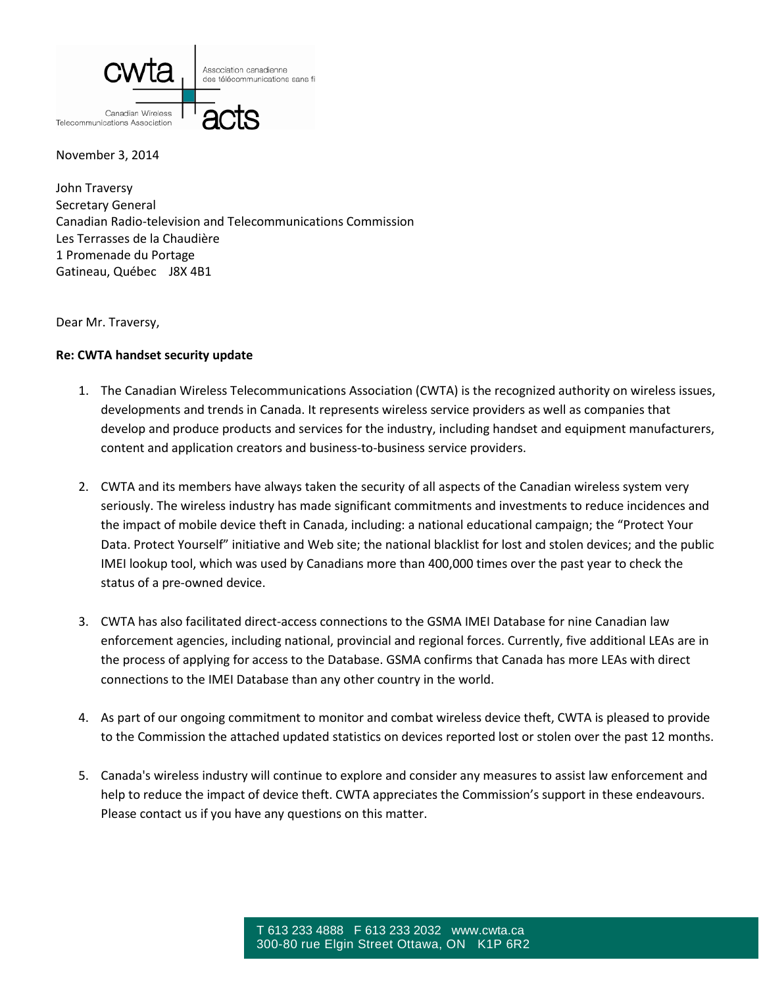

November 3, 2014

John Traversy Secretary General Canadian Radio-television and Telecommunications Commission Les Terrasses de la Chaudière 1 Promenade du Portage Gatineau, Québec J8X 4B1

Dear Mr. Traversy,

## **Re: CWTA handset security update**

- 1. The Canadian Wireless Telecommunications Association (CWTA) is the recognized authority on wireless issues, developments and trends in Canada. It represents wireless service providers as well as companies that develop and produce products and services for the industry, including handset and equipment manufacturers, content and application creators and business-to-business service providers.
- 2. CWTA and its members have always taken the security of all aspects of the Canadian wireless system very seriously. The wireless industry has made significant commitments and investments to reduce incidences and the impact of mobile device theft in Canada, including: a national educational campaign; the "Protect Your Data. Protect Yourself" initiative and Web site; the national blacklist for lost and stolen devices; and the public IMEI lookup tool, which was used by Canadians more than 400,000 times over the past year to check the status of a pre-owned device.
- 3. CWTA has also facilitated direct-access connections to the GSMA IMEI Database for nine Canadian law enforcement agencies, including national, provincial and regional forces. Currently, five additional LEAs are in the process of applying for access to the Database. GSMA confirms that Canada has more LEAs with direct connections to the IMEI Database than any other country in the world.
- 4. As part of our ongoing commitment to monitor and combat wireless device theft, CWTA is pleased to provide to the Commission the attached updated statistics on devices reported lost or stolen over the past 12 months.
- 5. Canada's wireless industry will continue to explore and consider any measures to assist law enforcement and help to reduce the impact of device theft. CWTA appreciates the Commission's support in these endeavours. Please contact us if you have any questions on this matter.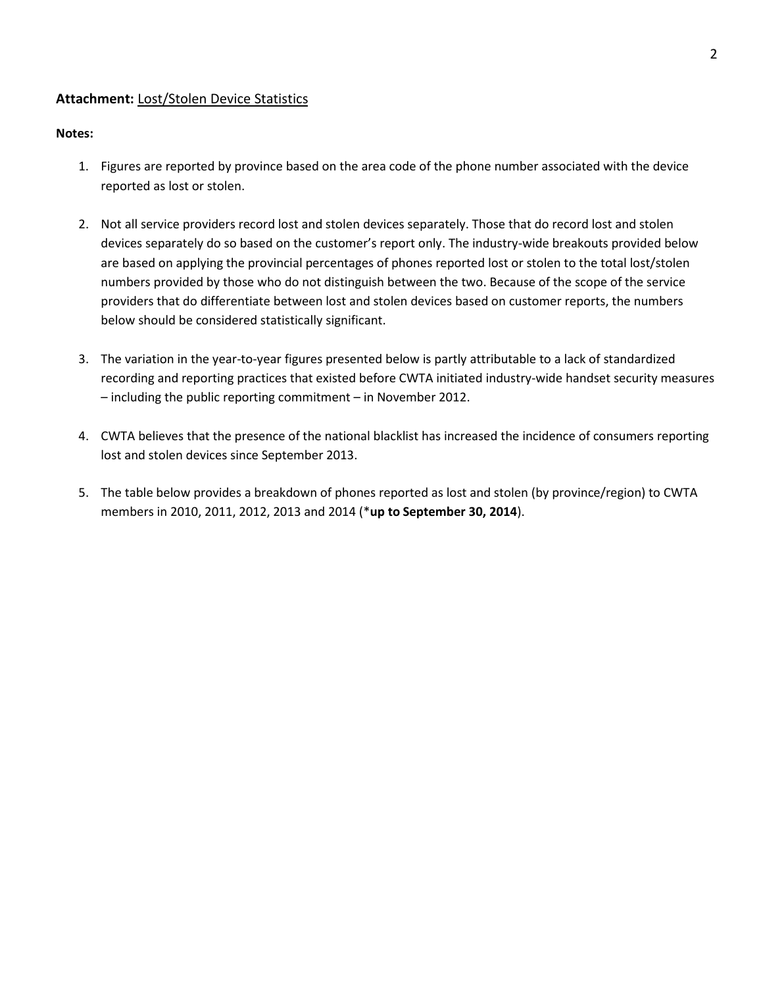## **Attachment:** Lost/Stolen Device Statistics

## **Notes:**

- 1. Figures are reported by province based on the area code of the phone number associated with the device reported as lost or stolen.
- 2. Not all service providers record lost and stolen devices separately. Those that do record lost and stolen devices separately do so based on the customer's report only. The industry-wide breakouts provided below are based on applying the provincial percentages of phones reported lost or stolen to the total lost/stolen numbers provided by those who do not distinguish between the two. Because of the scope of the service providers that do differentiate between lost and stolen devices based on customer reports, the numbers below should be considered statistically significant.
- 3. The variation in the year-to-year figures presented below is partly attributable to a lack of standardized recording and reporting practices that existed before CWTA initiated industry-wide handset security measures – including the public reporting commitment – in November 2012.
- 4. CWTA believes that the presence of the national blacklist has increased the incidence of consumers reporting lost and stolen devices since September 2013.
- 5. The table below provides a breakdown of phones reported as lost and stolen (by province/region) to CWTA members in 2010, 2011, 2012, 2013 and 2014 (\***up to September 30, 2014**).